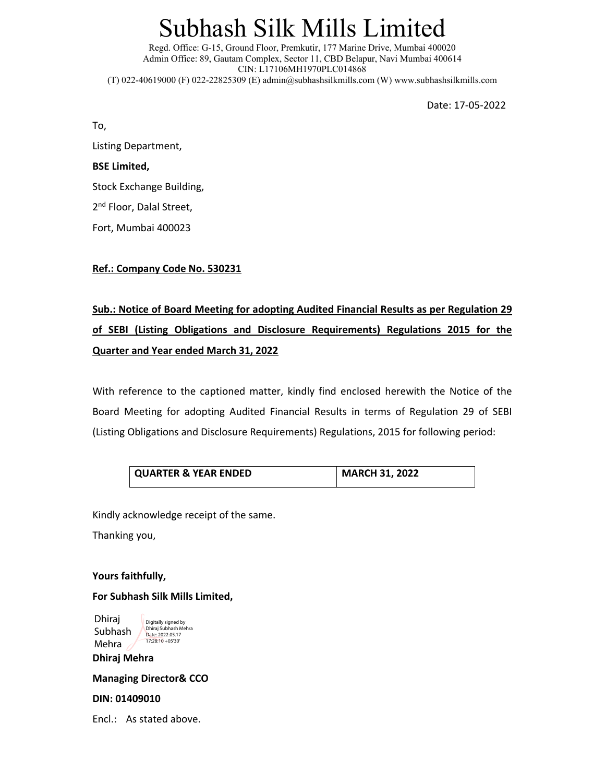# Subhash Silk Mills Limited

Regd. Office: G-15, Ground Floor, Premkutir, 177 Marine Drive, Mumbai 400020 Admin Office: 89, Gautam Complex, Sector 11, CBD Belapur, Navi Mumbai 400614 CIN: L17106MH1970PLC014868 (T) 022-40619000 (F) 022-22825309 (E) admin@subhashsilkmills.com (W) www.subhashsilkmills.com

Date: 17‐05‐2022

To,

Listing Department,

#### **BSE Limited,**

Stock Exchange Building,

2<sup>nd</sup> Floor, Dalal Street,

Fort, Mumbai 400023

#### **Ref.: Company Code No. 530231**

### **Sub.: Notice of Board Meeting for adopting Audited Financial Results as per Regulation 29 of SEBI (Listing Obligations and Disclosure Requirements) Regulations 2015 for the Quarter and Year ended March 31, 2022**

With reference to the captioned matter, kindly find enclosed herewith the Notice of the Board Meeting for adopting Audited Financial Results in terms of Regulation 29 of SEBI (Listing Obligations and Disclosure Requirements) Regulations, 2015 for following period:

| <b>QUARTER &amp; YEAR ENDED</b> | <b>MARCH 31, 2022</b> |
|---------------------------------|-----------------------|
|                                 |                       |

Kindly acknowledge receipt of the same.

Thanking you,

**Yours faithfully,** 

#### **For Subhash Silk Mills Limited,**

**Dhiraj Mehra**  Dhiraj Subhash Mehra Digitally signed by Dhiraj Subhash Mehra Date: 2022.05.17 17:28:10 +05'30'

**Managing Director& CCO** 

#### **DIN: 01409010**

Encl.: As stated above.